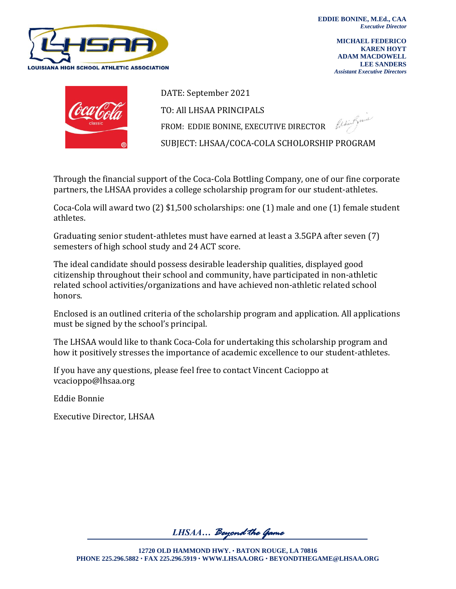

**MICHAEL FEDERICO KAREN HOYT ADAM MACDOWELL LEE SANDERS** *Assistant Executive Directors*



DATE: September 2021 TO: All LHSAA PRINCIPALS Ceditfu FROM: EDDIE BONINE, EXECUTIVE DIRECTOR SUBJECT: LHSAA/COCA-COLA SCHOLORSHIP PROGRAM

Through the financial support of the Coca-Cola Bottling Company, one of our fine corporate partners, the LHSAA provides a college scholarship program for our student-athletes.

Coca-Cola will award two (2) \$1,500 scholarships: one (1) male and one (1) female student athletes.

Graduating senior student-athletes must have earned at least a 3.5GPA after seven (7) semesters of high school study and 24 ACT score.

The ideal candidate should possess desirable leadership qualities, displayed good citizenship throughout their school and community, have participated in non-athletic related school activities/organizations and have achieved non-athletic related school honors.

Enclosed is an outlined criteria of the scholarship program and application. All applications must be signed by the school's principal.

The LHSAA would like to thank Coca-Cola for undertaking this scholarship program and how it positively stresses the importance of academic excellence to our student-athletes.

If you have any questions, please feel free to contact Vincent Cacioppo at vcacioppo@lhsaa.org

Eddie Bonnie

Executive Director, LHSAA

*LHSAA… Beyond the Game*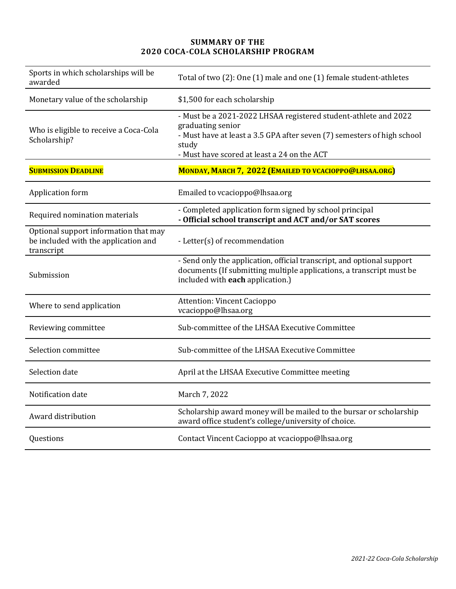## **SUMMARY OF THE 2020 COCA-COLA SCHOLARSHIP PROGRAM**

| Sports in which scholarships will be<br>awarded                                             | Total of two (2): One (1) male and one (1) female student-athletes                                                                                                                                                      |
|---------------------------------------------------------------------------------------------|-------------------------------------------------------------------------------------------------------------------------------------------------------------------------------------------------------------------------|
| Monetary value of the scholarship                                                           | \$1,500 for each scholarship                                                                                                                                                                                            |
| Who is eligible to receive a Coca-Cola<br>Scholarship?                                      | - Must be a 2021-2022 LHSAA registered student-athlete and 2022<br>graduating senior<br>- Must have at least a 3.5 GPA after seven (7) semesters of high school<br>study<br>- Must have scored at least a 24 on the ACT |
| <b>SUBMISSION DEADLINE</b>                                                                  | MONDAY, MARCH 7, 2022 (EMAILED TO VCACIOPPO@LHSAA.ORG)                                                                                                                                                                  |
| Application form                                                                            | Emailed to vcacioppo@lhsaa.org                                                                                                                                                                                          |
| Required nomination materials                                                               | - Completed application form signed by school principal<br>- Official school transcript and ACT and/or SAT scores                                                                                                       |
| Optional support information that may<br>be included with the application and<br>transcript | - Letter(s) of recommendation                                                                                                                                                                                           |
| Submission                                                                                  | - Send only the application, official transcript, and optional support<br>documents (If submitting multiple applications, a transcript must be<br>included with each application.)                                      |
| Where to send application                                                                   | <b>Attention: Vincent Cacioppo</b><br>vcacioppo@lhsaa.org                                                                                                                                                               |
| Reviewing committee                                                                         | Sub-committee of the LHSAA Executive Committee                                                                                                                                                                          |
| Selection committee                                                                         | Sub-committee of the LHSAA Executive Committee                                                                                                                                                                          |
| Selection date                                                                              | April at the LHSAA Executive Committee meeting                                                                                                                                                                          |
| Notification date                                                                           | March 7, 2022                                                                                                                                                                                                           |
| Award distribution                                                                          | Scholarship award money will be mailed to the bursar or scholarship<br>award office student's college/university of choice.                                                                                             |
| Questions                                                                                   | Contact Vincent Cacioppo at vcacioppo@lhsaa.org                                                                                                                                                                         |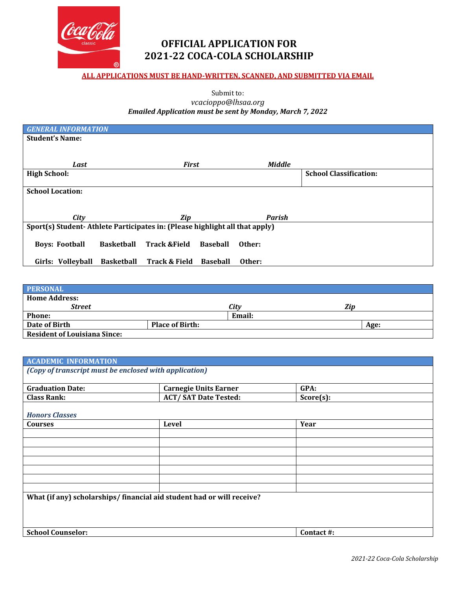

## **OFFICIAL APPLICATION FOR 2021-22 COCA-COLA SCHOLARSHIP**

## **ALL APPLICATIONS MUST BE HAND-WRITTEN, SCANNED, AND SUBMITTED VIA EMAIL**

Submit to:

## *vcacioppo@lhsaa.org Emailed Application must be sent by Monday, March 7, 2022*

| <b>GENERAL INFORMATION</b>                                                  |                   |                          |                 |               |                               |
|-----------------------------------------------------------------------------|-------------------|--------------------------|-----------------|---------------|-------------------------------|
| <b>Student's Name:</b>                                                      |                   |                          |                 |               |                               |
|                                                                             |                   |                          |                 |               |                               |
|                                                                             |                   |                          |                 |               |                               |
| Last                                                                        |                   | <b>First</b>             |                 | <b>Middle</b> |                               |
| <b>High School:</b>                                                         |                   |                          |                 |               | <b>School Classification:</b> |
|                                                                             |                   |                          |                 |               |                               |
| <b>School Location:</b>                                                     |                   |                          |                 |               |                               |
|                                                                             |                   |                          |                 |               |                               |
|                                                                             |                   |                          |                 |               |                               |
| City                                                                        |                   | Zip                      |                 | <b>Parish</b> |                               |
| Sport(s) Student-Athlete Participates in: (Please highlight all that apply) |                   |                          |                 |               |                               |
|                                                                             |                   |                          |                 |               |                               |
| <b>Boys: Football</b>                                                       | <b>Basketball</b> | <b>Track &amp;Field</b>  | <b>Baseball</b> | Other:        |                               |
|                                                                             |                   |                          |                 |               |                               |
| Girls: Volleyball                                                           | <b>Basketball</b> | <b>Track &amp; Field</b> | <b>Baseball</b> | Other:        |                               |

| <b>PERSONAL</b>                     |                        |        |     |      |
|-------------------------------------|------------------------|--------|-----|------|
| <b>Home Address:</b>                |                        |        |     |      |
| <b>Street</b>                       |                        | Citv   | Ziv |      |
| <b>Phone:</b>                       |                        | Email: |     |      |
| Date of Birth                       | <b>Place of Birth:</b> |        |     | Age: |
| <b>Resident of Louisiana Since:</b> |                        |        |     |      |

| <b>ACADEMIC INFORMATION</b>                                           |                              |              |  |
|-----------------------------------------------------------------------|------------------------------|--------------|--|
| (Copy of transcript must be enclosed with application)                |                              |              |  |
|                                                                       |                              |              |  |
| <b>Graduation Date:</b>                                               | <b>Carnegie Units Earner</b> | GPA:         |  |
| <b>Class Rank:</b>                                                    | <b>ACT/SAT Date Tested:</b>  | $Score(s)$ : |  |
|                                                                       |                              |              |  |
| <b>Honors Classes</b>                                                 |                              |              |  |
| <b>Courses</b>                                                        | <b>Level</b>                 | Year         |  |
|                                                                       |                              |              |  |
|                                                                       |                              |              |  |
|                                                                       |                              |              |  |
|                                                                       |                              |              |  |
|                                                                       |                              |              |  |
|                                                                       |                              |              |  |
|                                                                       |                              |              |  |
| What (if any) scholarships/financial aid student had or will receive? |                              |              |  |
|                                                                       |                              |              |  |
|                                                                       |                              |              |  |
|                                                                       |                              |              |  |
| <b>School Counselor:</b>                                              |                              | Contact #:   |  |
|                                                                       |                              |              |  |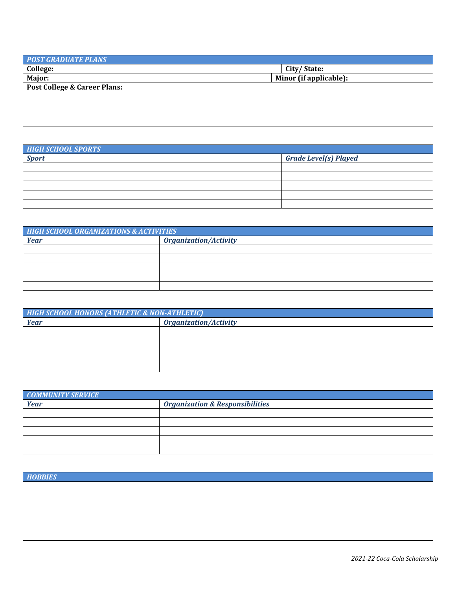| Minor (if applicable): |
|------------------------|
|                        |
|                        |
|                        |
|                        |
|                        |

| <b>HIGH SCHOOL SPORTS</b> |                              |
|---------------------------|------------------------------|
| <b>Sport</b>              | <b>Grade Level(s) Played</b> |
|                           |                              |
|                           |                              |
|                           |                              |
|                           |                              |
|                           |                              |

| <b>HIGH SCHOOL ORGANIZATIONS &amp; ACTIVITIES</b> |                              |  |  |
|---------------------------------------------------|------------------------------|--|--|
| Year                                              | <b>Organization/Activity</b> |  |  |
|                                                   |                              |  |  |
|                                                   |                              |  |  |
|                                                   |                              |  |  |
|                                                   |                              |  |  |
|                                                   |                              |  |  |

| <b>HIGH SCHOOL HONORS (ATHLETIC &amp; NON-ATHLETIC)</b> |                              |  |  |
|---------------------------------------------------------|------------------------------|--|--|
| <b>Year</b>                                             | <b>Organization/Activity</b> |  |  |
|                                                         |                              |  |  |
|                                                         |                              |  |  |
|                                                         |                              |  |  |
|                                                         |                              |  |  |
|                                                         |                              |  |  |

| <b>COMMUNITY SERVICE</b> |                                            |
|--------------------------|--------------------------------------------|
| <b>Year</b>              | <b>Organization &amp; Responsibilities</b> |
|                          |                                            |
|                          |                                            |
|                          |                                            |
|                          |                                            |
|                          |                                            |

*HOBBIES*